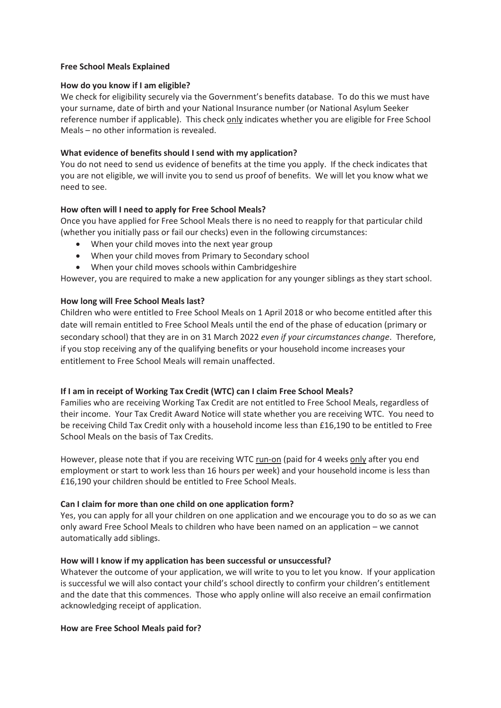#### **Free School Meals Explained**

## **How do you know if I am eligible?**

We check for eligibility securely via the Government's benefits database. To do this we must have your surname, date of birth and your National Insurance number (or National Asylum Seeker reference number if applicable). This check only indicates whether you are eligible for Free School Meals – no other information is revealed.

## **What evidence of benefits should I send with my application?**

You do not need to send us evidence of benefits at the time you apply. If the check indicates that you are not eligible, we will invite you to send us proof of benefits. We will let you know what we need to see.

# **How often will I need to apply for Free School Meals?**

Once you have applied for Free School Meals there is no need to reapply for that particular child (whether you initially pass or fail our checks) even in the following circumstances:

- When your child moves into the next year group
- · When your child moves from Primary to Secondary school
- · When your child moves schools within Cambridgeshire

However, you are required to make a new application for any younger siblings as they start school.

## **How long will Free School Meals last?**

Children who were entitled to Free School Meals on 1 April 2018 or who become entitled after this date will remain entitled to Free School Meals until the end of the phase of education (primary or secondary school) that they are in on 31 March 2022 *even if your circumstances change*. Therefore, if you stop receiving any of the qualifying benefits or your household income increases your entitlement to Free School Meals will remain unaffected.

#### **If I am in receipt of Working Tax Credit (WTC) can I claim Free School Meals?**

Families who are receiving Working Tax Credit are not entitled to Free School Meals, regardless of their income. Your Tax Credit Award Notice will state whether you are receiving WTC. You need to be receiving Child Tax Credit only with a household income less than £16,190 to be entitled to Free School Meals on the basis of Tax Credits.

However, please note that if you are receiving WTC run-on (paid for 4 weeks only after you end employment or start to work less than 16 hours per week) and your household income is less than £16,190 your children should be entitled to Free School Meals.

#### **Can I claim for more than one child on one application form?**

Yes, you can apply for all your children on one application and we encourage you to do so as we can only award Free School Meals to children who have been named on an application – we cannot automatically add siblings.

#### **How will I know if my application has been successful or unsuccessful?**

Whatever the outcome of your application, we will write to you to let you know. If your application is successful we will also contact your child's school directly to confirm your children's entitlement and the date that this commences. Those who apply online will also receive an email confirmation acknowledging receipt of application.

#### **How are Free School Meals paid for?**